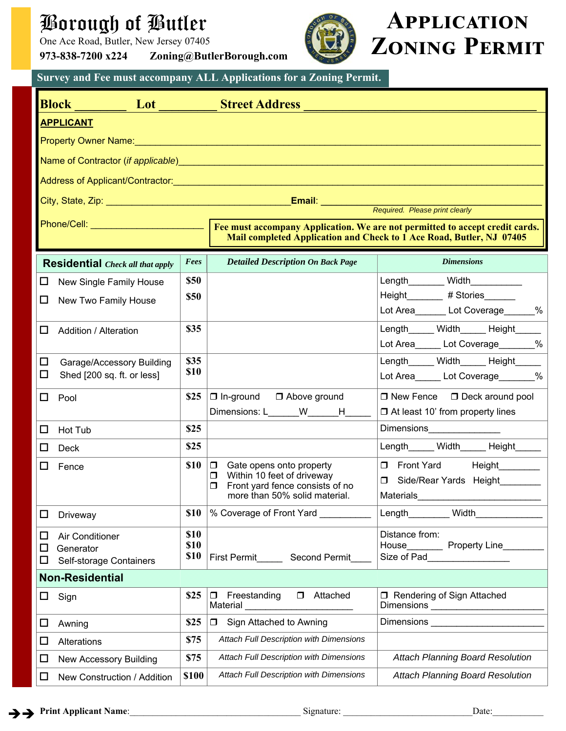## Borough of Butler

One Ace Road, Butler, New Jersey 07405

**973-838-7200 x224 Zoning@ButlerBorough.com** 



# **APPLICATION ZONING PERMIT**

**Survey and Fee must accompany ALL Applications for a Zoning Permit.** 

|              | <b>Block</b><br>Lot                     |              | <b>Street Address</b>                                                                                                                                                                                                                |                                                              |  |  |  |  |  |  |  |  |
|--------------|-----------------------------------------|--------------|--------------------------------------------------------------------------------------------------------------------------------------------------------------------------------------------------------------------------------------|--------------------------------------------------------------|--|--|--|--|--|--|--|--|
|              | <b>APPLICANT</b>                        |              |                                                                                                                                                                                                                                      |                                                              |  |  |  |  |  |  |  |  |
|              |                                         |              | Property Owner Name: <b>Announce of the Contract of the Contract of the Contract of the Contract of the Contract of the Contract of the Contract of the Contract of the Contract of the Contract of the Contract of the Contract</b> |                                                              |  |  |  |  |  |  |  |  |
|              |                                         |              |                                                                                                                                                                                                                                      |                                                              |  |  |  |  |  |  |  |  |
|              |                                         |              |                                                                                                                                                                                                                                      |                                                              |  |  |  |  |  |  |  |  |
|              |                                         |              |                                                                                                                                                                                                                                      |                                                              |  |  |  |  |  |  |  |  |
|              |                                         |              |                                                                                                                                                                                                                                      |                                                              |  |  |  |  |  |  |  |  |
|              |                                         |              | Mail completed Application and Check to 1 Ace Road, Butler, NJ 07405                                                                                                                                                                 |                                                              |  |  |  |  |  |  |  |  |
|              | <b>Residential</b> Check all that apply | Fees         | <b>Detailed Description On Back Page</b>                                                                                                                                                                                             | <b>Dimensions</b>                                            |  |  |  |  |  |  |  |  |
| ப            | New Single Family House                 | \$50         |                                                                                                                                                                                                                                      | Length Width                                                 |  |  |  |  |  |  |  |  |
| □            | New Two Family House                    | \$50         |                                                                                                                                                                                                                                      | Height #Stories                                              |  |  |  |  |  |  |  |  |
|              |                                         |              |                                                                                                                                                                                                                                      | Lot Area_______ Lot Coverage______%                          |  |  |  |  |  |  |  |  |
| $\mathsf{L}$ | <b>Addition / Alteration</b>            | \$35         |                                                                                                                                                                                                                                      | Length Width Height<br>Lot Area ______ Lot Coverage _______% |  |  |  |  |  |  |  |  |
| □            | Garage/Accessory Building               | \$35         |                                                                                                                                                                                                                                      | Length Width Height                                          |  |  |  |  |  |  |  |  |
| □            | Shed [200 sq. ft. or less]              | \$10         |                                                                                                                                                                                                                                      | Lot Area ______ Lot Coverage _______%                        |  |  |  |  |  |  |  |  |
| 0            | Pool                                    | \$25         | $\Box$ In-ground $\Box$ Above ground                                                                                                                                                                                                 | $\Box$ New Fence $\Box$ Deck around pool                     |  |  |  |  |  |  |  |  |
|              |                                         |              | Dimensions: L______W_______H_____                                                                                                                                                                                                    | $\Box$ At least 10' from property lines                      |  |  |  |  |  |  |  |  |
| ப            | Hot Tub                                 | \$25         |                                                                                                                                                                                                                                      | Dimensions<br><u>____________________</u>                    |  |  |  |  |  |  |  |  |
| П            | Deck                                    | \$25         |                                                                                                                                                                                                                                      | Length______ Width______ Height_____                         |  |  |  |  |  |  |  |  |
| ப            | Fence                                   | \$10         | $\Box$<br>Gate opens onto property<br>Within 10 feet of driveway<br>$\Box$                                                                                                                                                           | Front Yard Height                                            |  |  |  |  |  |  |  |  |
|              |                                         |              | Front yard fence consists of no<br>$\Box$<br>more than 50% solid material.                                                                                                                                                           | Side/Rear Yards Height<br>Materials                          |  |  |  |  |  |  |  |  |
|              |                                         | \$10         | % Coverage of Front Yard                                                                                                                                                                                                             | Length<br>Width                                              |  |  |  |  |  |  |  |  |
| ⊔            | Driveway                                |              |                                                                                                                                                                                                                                      |                                                              |  |  |  |  |  |  |  |  |
| ப<br>ப       | <b>Air Conditioner</b><br>Generator     | \$10<br>\$10 |                                                                                                                                                                                                                                      | Distance from:<br>House Property Line                        |  |  |  |  |  |  |  |  |
| ⊔            | Self-storage Containers                 | \$10         | First Permit Second Permit                                                                                                                                                                                                           | Size of Pad                                                  |  |  |  |  |  |  |  |  |
|              | <b>Non-Residential</b>                  |              |                                                                                                                                                                                                                                      |                                                              |  |  |  |  |  |  |  |  |
| ◻            | Sign                                    | \$25         | Freestanding<br><b>D</b> Attached<br>$\Box$<br>Material                                                                                                                                                                              | □ Rendering of Sign Attached                                 |  |  |  |  |  |  |  |  |
| ப            | Awning                                  | \$25         | $\Box$<br>Sign Attached to Awning                                                                                                                                                                                                    | Dimensions <b>Dimensions</b>                                 |  |  |  |  |  |  |  |  |
| □            | Alterations                             | \$75         | Attach Full Description with Dimensions                                                                                                                                                                                              |                                                              |  |  |  |  |  |  |  |  |
| ⊔            | <b>New Accessory Building</b>           | \$75         | Attach Full Description with Dimensions                                                                                                                                                                                              | <b>Attach Planning Board Resolution</b>                      |  |  |  |  |  |  |  |  |
| ⊔            | New Construction / Addition             | \$100        | Attach Full Description with Dimensions                                                                                                                                                                                              | <b>Attach Planning Board Resolution</b>                      |  |  |  |  |  |  |  |  |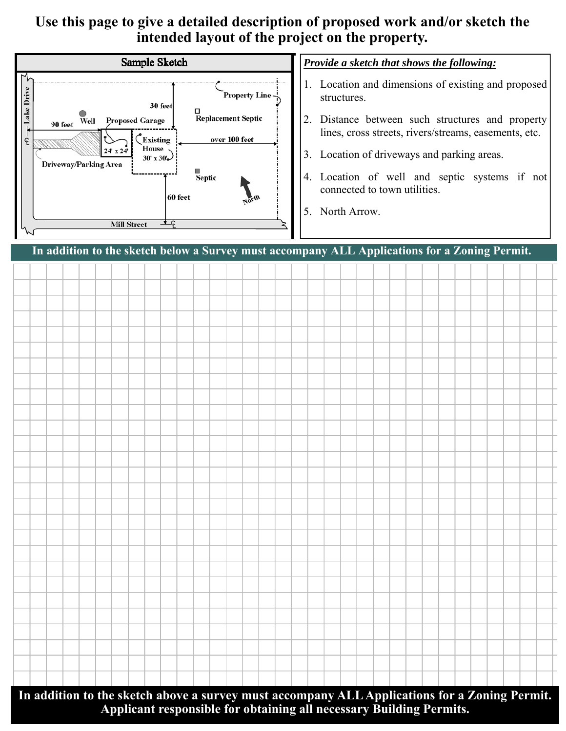### **Use this page to give a detailed description of proposed work and/or sketch the intended layout of the project on the property.**



### *Provide a sketch that shows the following:*

- 1. Location and dimensions of existing and proposed structures.
- 2. Distance between such structures and property lines, cross streets, rivers/streams, easements, etc.
- 3. Location of driveways and parking areas.
- 4. Location of well and septic systems if not connected to town utilities.
- 5. North Arrow.

**In addition to the sketch below a Survey must accompany ALL Applications for a Zoning Permit.** 

**In addition to the sketch above a survey must accompany ALL Applications for a Zoning Permit. Applicant responsible for obtaining all necessary Building Permits.**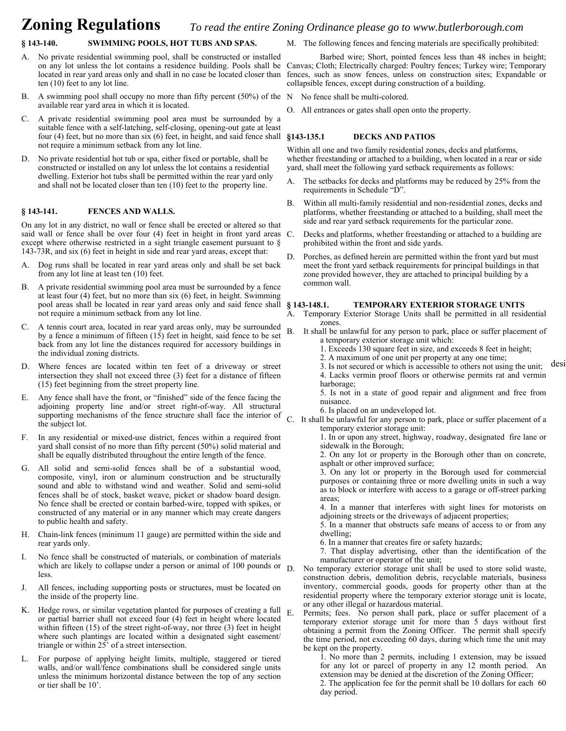#### **Zoning Regulations**  *To read the entire Zoning Ordinance please go to www.butlerborough.com*

#### **§ 143-140. SWIMMING POOLS, HOT TUBS AND SPAS.**

- A. No private residential swimming pool, shall be constructed or installed ten (10) feet to any lot line.
- B. A swimming pool shall occupy no more than fifty percent (50%) of the N No fence shall be multi-colored. available rear yard area in which it is located.
- C. A private residential swimming pool area must be surrounded by a suitable fence with a self-latching, self-closing, opening-out gate at least four (4) feet, but no more than six (6) feet, in height, and said fence shall §143-135.1 not require a minimum setback from any lot line.
- D. No private residential hot tub or spa, either fixed or portable, shall be constructed or installed on any lot unless the lot contains a residential dwelling. Exterior hot tubs shall be permitted within the rear yard only and shall not be located closer than ten (10) feet to the property line.

#### **§ 143-141. FENCES AND WALLS.**

On any lot in any district, no wall or fence shall be erected or altered so that said wall or fence shall be over four (4) feet in height in front yard areas C. except where otherwise restricted in a sight triangle easement pursuant to § 143-73R, and six (6) feet in height in side and rear yard areas, except that:

- A. Dog runs shall be located in rear yard areas only and shall be set back from any lot line at least ten (10) feet.
- B. A private residential swimming pool area must be surrounded by a fence at least four (4) feet, but no more than six (6) feet, in height. Swimming pool areas shall be located in rear yard areas only and said fence shall § 143-148.1. not require a minimum setback from any lot line.
- C. A tennis court area, located in rear yard areas only, may be surrounded by a fence a minimum of fifteen (15) feet in height, said fence to be set back from any lot line the distances required for accessory buildings in the individual zoning districts.
- D. Where fences are located within ten feet of a driveway or street intersection they shall not exceed three (3) feet for a distance of fifteen (15) feet beginning from the street property line.
- E. Any fence shall have the front, or "finished" side of the fence facing the adjoining property line and/or street right-of-way. All structural supporting mechanisms of the fence structure shall face the interior of the subject lot.
- F. In any residential or mixed-use district, fences within a required front yard shall consist of no more than fifty percent (50%) solid material and shall be equally distributed throughout the entire length of the fence.
- G. All solid and semi-solid fences shall be of a substantial wood, composite, vinyl, iron or aluminum construction and be structurally sound and able to withstand wind and weather. Solid and semi-solid fences shall be of stock, basket weave, picket or shadow board design. No fence shall be erected or contain barbed-wire, topped with spikes, or constructed of any material or in any manner which may create dangers to public health and safety.
- H. Chain-link fences (minimum 11 gauge) are permitted within the side and rear yards only.
- I. No fence shall be constructed of materials, or combination of materials which are likely to collapse under a person or animal of 100 pounds or  $\overline{D}$ . less.
- J. All fences, including supporting posts or structures, must be located on the inside of the property line.
- K. Hedge rows, or similar vegetation planted for purposes of creating a full  $_{\rm E}$ or partial barrier shall not exceed four (4) feet in height where located within fifteen (15) of the street right-of-way, nor three (3) feet in height where such plantings are located within a designated sight easement/ triangle or within 25' of a street intersection.
- L. For purpose of applying height limits, multiple, staggered or tiered walls, and/or wall/fence combinations shall be considered single units unless the minimum horizontal distance between the top of any section or tier shall be 10'.

M. The following fences and fencing materials are specifically prohibited:

on any lot unless the lot contains a residence building. Pools shall be Canvas; Cloth; Electrically charged: Poultry fences; Turkey wire; Temporary located in rear yard areas only and shall in no case be located closer than fences, such as snow fences, unless on construction sites; Expandable or Barbed wire; Short, pointed fences less than 48 inches in height; collapsible fences, except during construction of a building.

- 
- O. All entrances or gates shall open onto the property.

#### **§143-135.1 DECKS AND PATIOS**

Within all one and two family residential zones, decks and platforms, whether freestanding or attached to a building, when located in a rear or side yard, shall meet the following yard setback requirements as follows:

- A. The setbacks for decks and platforms may be reduced by 25% from the requirements in Schedule "D".
- B. Within all multi-family residential and non-residential zones, decks and platforms, whether freestanding or attached to a building, shall meet the side and rear yard setback requirements for the particular zone.
- Decks and platforms, whether freestanding or attached to a building are prohibited within the front and side yards.
- D. Porches, as defined herein are permitted within the front yard but must meet the front yard setback requirements for principal buildings in that zone provided however, they are attached to principal building by a common wall.

#### **§ 143-148.1. TEMPORARY EXTERIOR STORAGE UNITS**

- A. Temporary Exterior Storage Units shall be permitted in all residential zones.
- B. It shall be unlawful for any person to park, place or suffer placement of a temporary exterior storage unit which:
	- 1. Exceeds 130 square feet in size, and exceeds 8 feet in height;
	- 2. A maximum of one unit per property at any one time;
- 2. It maximum of one and per property at any one time,<br>3. Is not secured or which is accessible to others not using the unit; desi
	- 4. Lacks vermin proof floors or otherwise permits rat and vermin harborage;
	- 5. Is not in a state of good repair and alignment and free from nuisance.
	- 6. Is placed on an undeveloped lot.
- C. It shall be unlawful for any person to park, place or suffer placement of a temporary exterior storage unit:

 1. In or upon any street, highway, roadway, designated fire lane or sidewalk in the Borough;

 2. On any lot or property in the Borough other than on concrete, asphalt or other improved surface;

 3. On any lot or property in the Borough used for commercial purposes or containing three or more dwelling units in such a way as to block or interfere with access to a garage or off-street parking areas;

 4. In a manner that interferes with sight lines for motorists on adjoining streets or the driveways of adjacent properties;

 5. In a manner that obstructs safe means of access to or from any dwelling;

6. In a manner that creates fire or safety hazards;

 7. That display advertising, other than the identification of the manufacturer or operator of the unit;

No temporary exterior storage unit shall be used to store solid waste, construction debris, demolition debris, recyclable materials, business inventory, commercial goods, goods for property other than at the residential property where the temporary exterior storage unit is locate, or any other illegal or hazardous material.

Permits; fees. No person shall park, place or suffer placement of a temporary exterior storage unit for more than 5 days without first obtaining a permit from the Zoning Officer. The permit shall specify the time period, not exceeding 60 days, during which time the unit may be kept on the property.

 1. No more than 2 permits, including 1 extension, may be issued for any lot or parcel of property in any 12 month period. An extension may be denied at the discretion of the Zoning Officer; 2. The application fee for the permit shall be 10 dollars for each 60 day period.